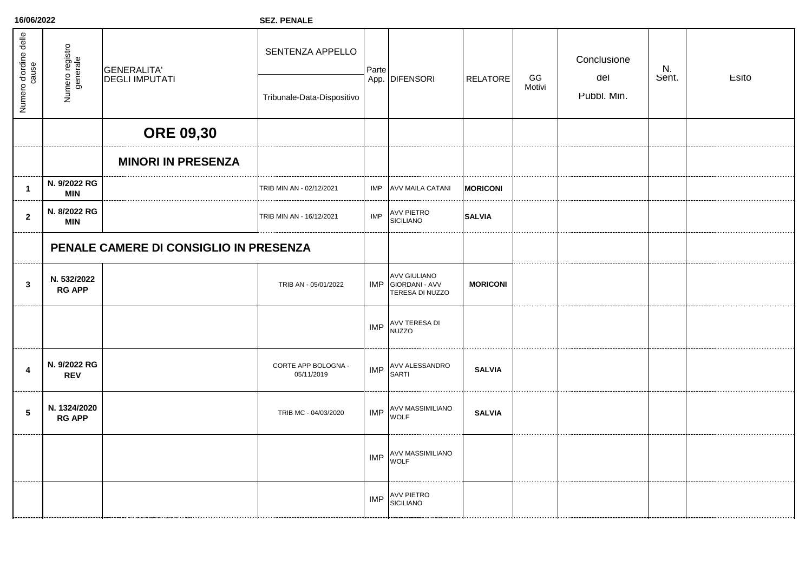**16/06/2022**

**SEZ. PENALE**

| Numero d'ordine delle   | Numero registro<br>generale            | <b>GENERALITA'</b><br><b>DEGLI IMPUTATI</b> | SENTENZA APPELLO                  | Parte      | App. DIFENSORI                                               | <b>RELATORE</b> | GG<br>Motivi | Conclusione<br>del<br>Pubbl. Min. | N.<br>Sent. | Esito |
|-------------------------|----------------------------------------|---------------------------------------------|-----------------------------------|------------|--------------------------------------------------------------|-----------------|--------------|-----------------------------------|-------------|-------|
|                         |                                        |                                             | Tribunale-Data-Dispositivo        |            |                                                              |                 |              |                                   |             |       |
|                         |                                        | <b>ORE 09,30</b>                            |                                   |            |                                                              |                 |              |                                   |             |       |
|                         |                                        | <b>MINORI IN PRESENZA</b>                   |                                   |            |                                                              |                 |              |                                   |             |       |
| $\overline{1}$          | N. 9/2022 RG<br><b>MIN</b>             |                                             | TRIB MIN AN - 02/12/2021          | IMP        | <b>AVV MAILA CATANI</b>                                      | <b>MORICONI</b> |              |                                   |             |       |
| $\overline{2}$          | N. 8/2022 RG<br>MIN                    |                                             | TRIB MIN AN - 16/12/2021          | <b>IMP</b> | AVV PIETRO<br>SICILIANO                                      | <b>SALVIA</b>   |              |                                   |             |       |
|                         | PENALE CAMERE DI CONSIGLIO IN PRESENZA |                                             |                                   |            |                                                              |                 |              |                                   |             |       |
| $\overline{3}$          | N. 532/2022<br><b>RG APP</b>           |                                             | TRIB AN - 05/01/2022              |            | <b>AVV GIULIANO</b><br>IMP GIORDANI - AVV<br>TERESA DI NUZZO | <b>MORICONI</b> |              |                                   |             |       |
|                         |                                        |                                             |                                   | <b>IMP</b> | <b>AVV TERESA DI</b><br><b>NUZZO</b>                         |                 |              |                                   |             |       |
| $\overline{\mathbf{4}}$ | N. 9/2022 RG<br><b>REV</b>             |                                             | CORTE APP BOLOGNA -<br>05/11/2019 | <b>IMP</b> | AVV ALESSANDRO<br><b>SARTI</b>                               | <b>SALVIA</b>   |              |                                   |             |       |
| $\sqrt{5}$              | N. 1324/2020<br><b>RG APP</b>          |                                             | TRIB MC - 04/03/2020              | <b>IMP</b> | AVV MASSIMILIANO<br><b>WOLF</b>                              | <b>SALVIA</b>   |              |                                   |             |       |
|                         |                                        |                                             |                                   |            | <b>AVV MASSIMILIANO</b><br>$IMP$ $WOLF$                      |                 |              |                                   |             |       |
|                         |                                        |                                             |                                   | <b>IMP</b> | AVV PIETRO<br>SICILIANO                                      |                 |              |                                   |             |       |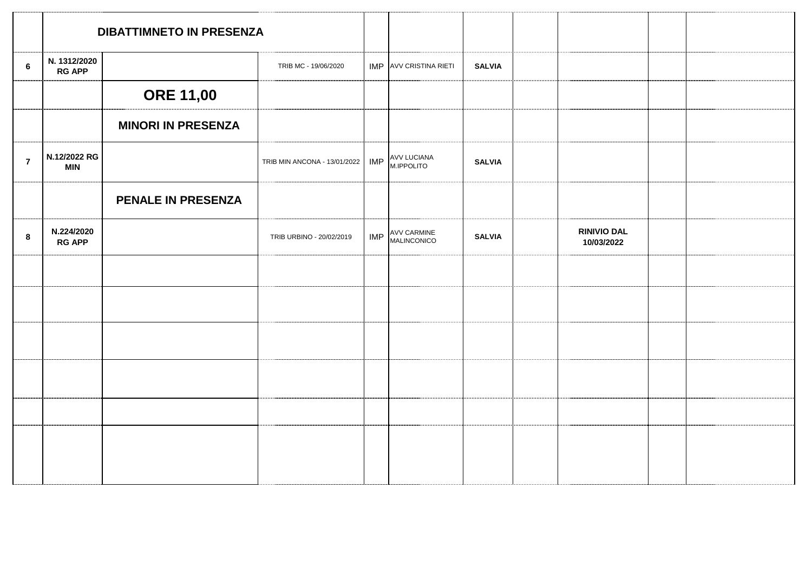|                | <b>DIBATTIMNETO IN PRESENZA</b> |                           |                              |            |                                   |               |                                  |  |
|----------------|---------------------------------|---------------------------|------------------------------|------------|-----------------------------------|---------------|----------------------------------|--|
| $\bf 6$        | N. 1312/2020<br><b>RG APP</b>   |                           | TRIB MC - 19/06/2020         |            | IMP AVV CRISTINA RIETI            | <b>SALVIA</b> |                                  |  |
|                |                                 | <b>ORE 11,00</b>          |                              |            |                                   |               |                                  |  |
|                |                                 | <b>MINORI IN PRESENZA</b> |                              |            |                                   |               |                                  |  |
| $\overline{7}$ | N.12/2022 RG<br><b>MIN</b>      |                           | TRIB MIN ANCONA - 13/01/2022 | <b>IMP</b> | <b>AVV LUCIANA<br/>M.IPPOLITO</b> | <b>SALVIA</b> |                                  |  |
|                |                                 | PENALE IN PRESENZA        |                              |            |                                   |               |                                  |  |
| 8              | N.224/2020<br><b>RG APP</b>     |                           | TRIB URBINO - 20/02/2019     | IMP        | AVV CARMINE<br>MALINCONICO        | <b>SALVIA</b> | <b>RINIVIO DAL</b><br>10/03/2022 |  |
|                |                                 |                           |                              |            |                                   |               |                                  |  |
|                |                                 |                           |                              |            |                                   |               |                                  |  |
|                |                                 |                           |                              |            |                                   |               |                                  |  |
|                |                                 |                           |                              |            |                                   |               |                                  |  |
|                |                                 |                           |                              |            |                                   |               |                                  |  |
|                |                                 |                           |                              |            |                                   |               |                                  |  |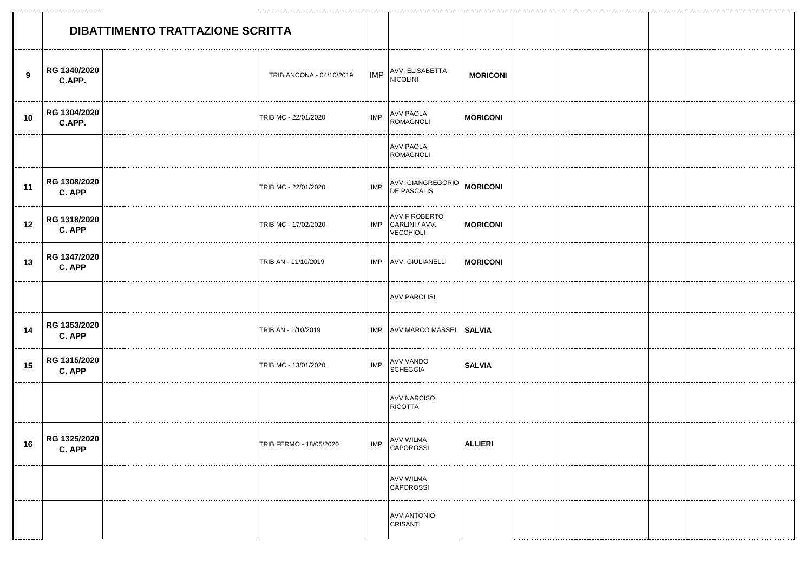|    |                               | DIBATTIMENTO TRATTAZIONE SCRITTA |                          |            |                                                         |                 |  |  |
|----|-------------------------------|----------------------------------|--------------------------|------------|---------------------------------------------------------|-----------------|--|--|
| 9  | RG 1340/2020<br>C.APP.        |                                  | TRIB ANCONA - 04/10/2019 |            | IMP AVV. ELISABETTA                                     | <b>MORICONI</b> |  |  |
| 10 | RG 1304/2020<br>C.APP.        |                                  | TRIB MC - 22/01/2020     | <b>IMP</b> | AVV PAOLA<br>ROMAGNOLI                                  | <b>MORICONI</b> |  |  |
|    |                               |                                  |                          |            | <b>AVV PAOLA</b><br><b>ROMAGNOLI</b>                    |                 |  |  |
| 11 | RG 1308/2020<br>C. APP        |                                  | TRIB MC - 22/01/2020     | IMP        | AVV. GIANGREGORIO MORICONI                              |                 |  |  |
| 12 | RG 1318/2020<br>C. APP        |                                  | TRIB MC - 17/02/2020     |            | AVV F.ROBERTO<br>IMP CARLINI / AVV.<br><b>VECCHIOLI</b> | <b>MORICONI</b> |  |  |
| 13 | RG 1347/2020<br>C. APP        |                                  | TRIB AN - 11/10/2019     |            | IMP AVV. GIULIANELLI                                    | <b>MORICONI</b> |  |  |
|    |                               |                                  |                          |            | <b>AVV.PAROLISI</b>                                     |                 |  |  |
| 14 | RG 1353/2020<br>C. APP        |                                  | TRIB AN - 1/10/2019      |            | IMP AVV MARCO MASSEI SALVIA                             |                 |  |  |
| 15 | RG 1315/2020<br>C. APP        |                                  | TRIB MC - 13/01/2020     | <b>IMP</b> | AVV VANDO<br><b>SCHEGGIA</b>                            | <b>SALVIA</b>   |  |  |
|    |                               |                                  |                          |            | <b>AVV NARCISO</b><br><b>RICOTTA</b>                    |                 |  |  |
|    | 16   RG 1325/2020  <br>C. APP |                                  | TRIB FERMO - 18/05/2020  |            | IMP AVV WILMA<br>CAPOROSSI                              | <b>ALLIERI</b>  |  |  |
|    |                               |                                  |                          |            | <b>AVV WILMA</b><br><b>CAPOROSSI</b>                    |                 |  |  |
|    |                               |                                  |                          |            | <b>AVV ANTONIO</b><br><b>CRISANTI</b>                   |                 |  |  |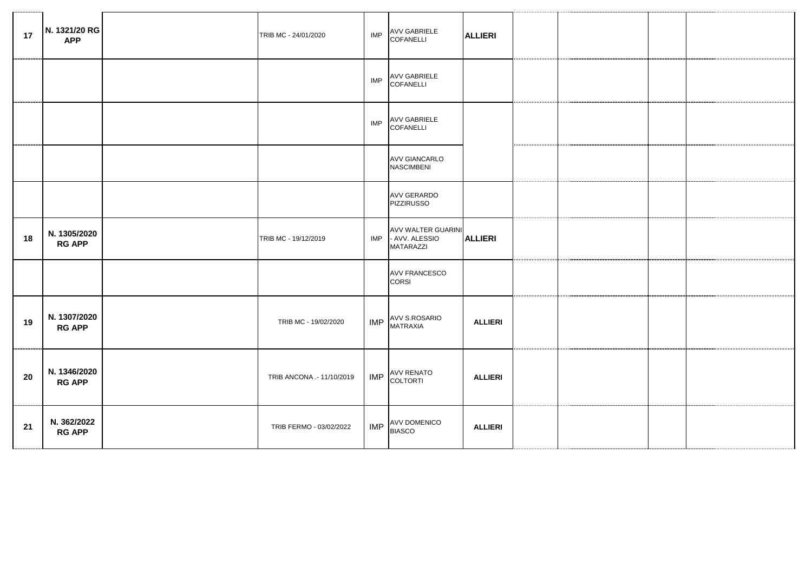| 17 | N. 1321/20 RG<br><b>APP</b>   | TRIB MC - 24/01/2020      | IMP        | AVV GABRIELE<br>COFANELLI                                           | <b>ALLIERI</b> |  |  |
|----|-------------------------------|---------------------------|------------|---------------------------------------------------------------------|----------------|--|--|
|    |                               |                           | IMP        | <b>AVV GABRIELE</b><br>COFANELLI                                    |                |  |  |
|    |                               |                           | <b>IMP</b> | AVV GABRIELE<br>COFANELLI                                           |                |  |  |
|    |                               |                           |            | <b>AVV GIANCARLO</b><br><b>NASCIMBENI</b>                           |                |  |  |
|    |                               |                           |            | <b>AVV GERARDO</b><br><b>PIZZIRUSSO</b>                             |                |  |  |
| 18 | N. 1305/2020<br><b>RG APP</b> | TRIB MC - 19/12/2019      |            | <b>AVV WALTER GUARINI</b><br>IMP - AVV. ALESSIO<br><b>MATARAZZI</b> | <b>ALLIERI</b> |  |  |
|    |                               |                           |            | <b>AVV FRANCESCO</b><br>CORSI                                       |                |  |  |
| 19 | N. 1307/2020<br><b>RG APP</b> | TRIB MC - 19/02/2020      | <b>IMP</b> | AVV S.ROSARIO<br><b>MATRAXIA</b>                                    | <b>ALLIERI</b> |  |  |
| 20 | N. 1346/2020<br><b>RG APP</b> | TRIB ANCONA .- 11/10/2019 |            | IMP AVV RENATO                                                      | <b>ALLIERI</b> |  |  |
| 21 | N. 362/2022<br><b>RG APP</b>  | TRIB FERMO - 03/02/2022   | <b>IMP</b> | AVV DOMENICO<br><b>BIASCO</b>                                       | <b>ALLIERI</b> |  |  |